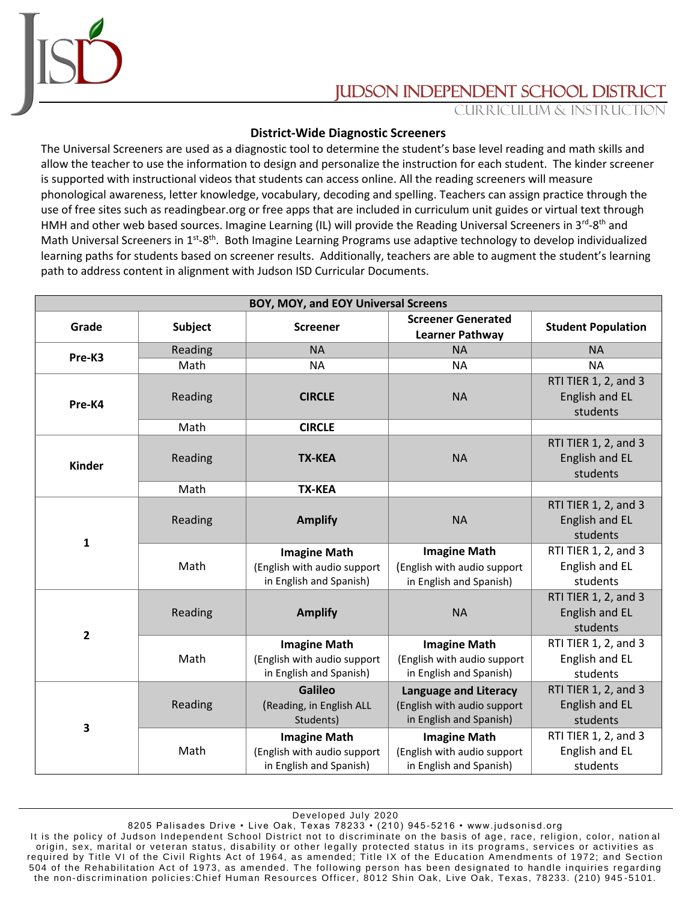

## JUDSON INDEPENDENT SCHOOL DISTRIC

Curriculum & Instruction

## **District-Wide Diagnostic Screeners**

The Universal Screeners are used as a diagnostic tool to determine the student's base level reading and math skills and allow the teacher to use the information to design and personalize the instruction for each student. The kinder screener is supported with instructional videos that students can access online. All the reading screeners will measure phonological awareness, letter knowledge, vocabulary, decoding and spelling. Teachers can assign practice through the use of free sites such as readingbear.org or free apps that are included in curriculum unit guides or virtual text through HMH and other web based sources. Imagine Learning (IL) will provide the Reading Universal Screeners in 3<sup>rd</sup>-8<sup>th</sup> and Math Universal Screeners in 1<sup>st</sup>-8<sup>th</sup>. Both Imagine Learning Programs use adaptive technology to develop individualized learning paths for students based on screener results. Additionally, teachers are able to augment the student's learning path to address content in alignment with Judson ISD Curricular Documents.

| BOY, MOY, and EOY Universal Screens |         |                                                                               |                                                                                        |                                                    |  |
|-------------------------------------|---------|-------------------------------------------------------------------------------|----------------------------------------------------------------------------------------|----------------------------------------------------|--|
| Grade                               | Subject | <b>Screener</b>                                                               | <b>Screener Generated</b><br><b>Learner Pathway</b>                                    | <b>Student Population</b>                          |  |
| Pre-K3                              | Reading | <b>NA</b>                                                                     | <b>NA</b>                                                                              | <b>NA</b>                                          |  |
|                                     | Math    | <b>NA</b>                                                                     | <b>NA</b>                                                                              | <b>NA</b>                                          |  |
| Pre-K4                              | Reading | <b>CIRCLE</b>                                                                 | <b>NA</b>                                                                              | RTI TIER 1, 2, and 3<br>English and EL<br>students |  |
|                                     | Math    | <b>CIRCLE</b>                                                                 |                                                                                        |                                                    |  |
| <b>Kinder</b>                       | Reading | <b>TX-KEA</b>                                                                 | <b>NA</b>                                                                              | RTI TIER 1, 2, and 3<br>English and EL<br>students |  |
|                                     | Math    | <b>TX-KEA</b>                                                                 |                                                                                        |                                                    |  |
| $\mathbf{1}$                        | Reading | <b>Amplify</b>                                                                | <b>NA</b>                                                                              | RTI TIER 1, 2, and 3<br>English and EL<br>students |  |
|                                     | Math    | <b>Imagine Math</b><br>(English with audio support<br>in English and Spanish) | <b>Imagine Math</b><br>(English with audio support<br>in English and Spanish)          | RTI TIER 1, 2, and 3<br>English and EL<br>students |  |
| $\overline{\mathbf{2}}$             | Reading | <b>Amplify</b>                                                                | <b>NA</b>                                                                              | RTI TIER 1, 2, and 3<br>English and EL<br>students |  |
|                                     | Math    | <b>Imagine Math</b><br>(English with audio support<br>in English and Spanish) | <b>Imagine Math</b><br>(English with audio support<br>in English and Spanish)          | RTI TIER 1, 2, and 3<br>English and EL<br>students |  |
| $\overline{\mathbf{3}}$             | Reading | <b>Galileo</b><br>(Reading, in English ALL<br>Students)                       | <b>Language and Literacy</b><br>(English with audio support<br>in English and Spanish) | RTI TIER 1, 2, and 3<br>English and EL<br>students |  |
|                                     | Math    | <b>Imagine Math</b><br>(English with audio support<br>in English and Spanish) | <b>Imagine Math</b><br>(English with audio support<br>in English and Spanish)          | RTI TIER 1, 2, and 3<br>English and EL<br>students |  |

Developed July 2020

8205 Palisades Drive • Live Oak, Texas 78233 • (210) 945-5216 • www.judsonisd.org It is the policy of Judson Independent School District not to discriminate on the basis of age, race, religion, color, national origin, sex, marital or veteran status, disability or other legally protected status in its programs, services or activities as required by Title VI of the Civil Rights Act of 1964, as amended; Title IX of the Education Amendments of 1972; and Section 504 of the Rehabilitation Act of 1973, as amended. The following person has been designated to handle inquiries regarding the non-discrimination policies:Chief Human Resources Officer, 8012 Shin Oak, Live Oak, Texas, 78233. (210) 945-5101.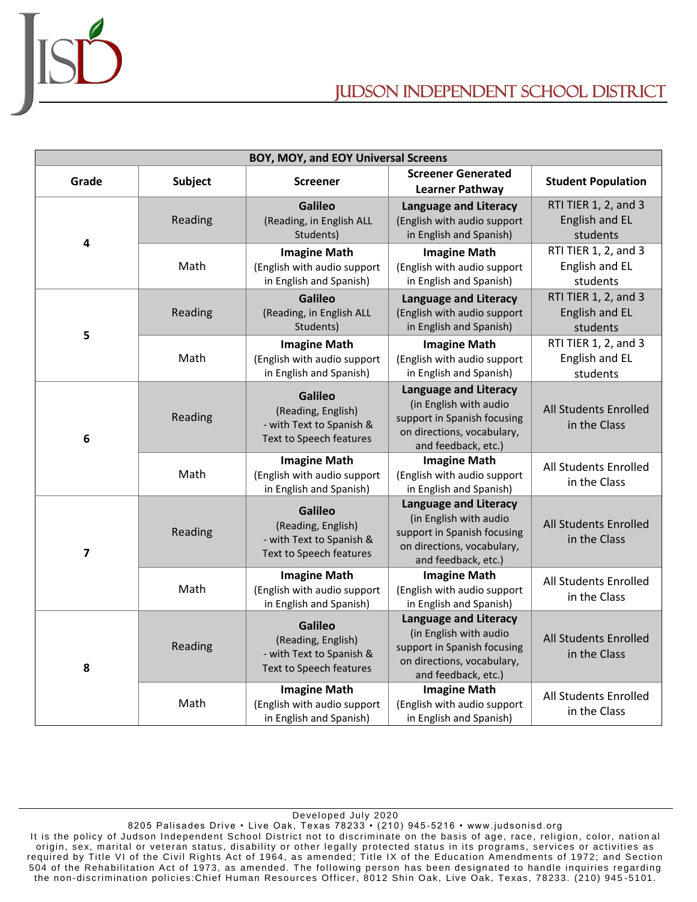

## Judson independent school district

| BOY, MOY, and EOY Universal Screens |         |                                                                                             |                                                                                                                                            |                                                    |  |  |
|-------------------------------------|---------|---------------------------------------------------------------------------------------------|--------------------------------------------------------------------------------------------------------------------------------------------|----------------------------------------------------|--|--|
| Grade                               | Subject | <b>Screener</b>                                                                             | <b>Screener Generated</b><br><b>Learner Pathway</b>                                                                                        | <b>Student Population</b>                          |  |  |
| 4                                   | Reading | <b>Galileo</b><br>(Reading, in English ALL<br>Students)                                     | <b>Language and Literacy</b><br>(English with audio support<br>in English and Spanish)                                                     | RTI TIER 1, 2, and 3<br>English and EL<br>students |  |  |
|                                     | Math    | <b>Imagine Math</b><br>(English with audio support<br>in English and Spanish)               | <b>Imagine Math</b><br>(English with audio support<br>in English and Spanish)                                                              | RTI TIER 1, 2, and 3<br>English and EL<br>students |  |  |
| 5                                   | Reading | <b>Galileo</b><br>(Reading, in English ALL<br>Students)                                     | <b>Language and Literacy</b><br>(English with audio support<br>in English and Spanish)                                                     | RTI TIER 1, 2, and 3<br>English and EL<br>students |  |  |
|                                     | Math    | <b>Imagine Math</b><br>(English with audio support<br>in English and Spanish)               | <b>Imagine Math</b><br>(English with audio support<br>in English and Spanish)                                                              | RTI TIER 1, 2, and 3<br>English and EL<br>students |  |  |
| 6                                   | Reading | <b>Galileo</b><br>(Reading, English)<br>- with Text to Spanish &<br>Text to Speech features | <b>Language and Literacy</b><br>(in English with audio<br>support in Spanish focusing<br>on directions, vocabulary,<br>and feedback, etc.) | All Students Enrolled<br>in the Class              |  |  |
|                                     | Math    | <b>Imagine Math</b><br>(English with audio support<br>in English and Spanish)               | <b>Imagine Math</b><br>(English with audio support<br>in English and Spanish)                                                              | All Students Enrolled<br>in the Class              |  |  |
| $\overline{\mathbf{z}}$             | Reading | <b>Galileo</b><br>(Reading, English)<br>- with Text to Spanish &<br>Text to Speech features | <b>Language and Literacy</b><br>(in English with audio<br>support in Spanish focusing<br>on directions, vocabulary,<br>and feedback, etc.) | All Students Enrolled<br>in the Class              |  |  |
|                                     | Math    | <b>Imagine Math</b><br>(English with audio support<br>in English and Spanish)               | <b>Imagine Math</b><br>(English with audio support<br>in English and Spanish)                                                              | All Students Enrolled<br>in the Class              |  |  |
| 8                                   | Reading | <b>Galileo</b><br>(Reading, English)<br>- with Text to Spanish &<br>Text to Speech features | <b>Language and Literacy</b><br>(in English with audio<br>support in Spanish focusing<br>on directions, vocabulary,<br>and feedback, etc.) | All Students Enrolled<br>in the Class              |  |  |
|                                     | Math    | <b>Imagine Math</b><br>(English with audio support<br>in English and Spanish)               | <b>Imagine Math</b><br>(English with audio support<br>in English and Spanish)                                                              | <b>All Students Enrolled</b><br>in the Class       |  |  |

Developed July 2020

8205 Palisades Drive • Live Oak, Texas 78233 • (210) 945-5216 • www.judsonisd.org It is the policy of Judson Independent School District not to discriminate on the basis of age, race, religion, color, national origin, sex, marital or veteran status, disability or other legally protected status in its programs, services or activities as required by Title VI of the Civil Rights Act of 1964, as amended; Title IX of the Education Amendments of 1972; and Section 504 of the Rehabilitation Act of 1973, as amended. The following person has been designated to handle inquiries regarding the non-discrimination policies:Chief Human Resources Officer, 8012 Shin Oak, Live Oak, Texas, 78233. (210) 945-5101.